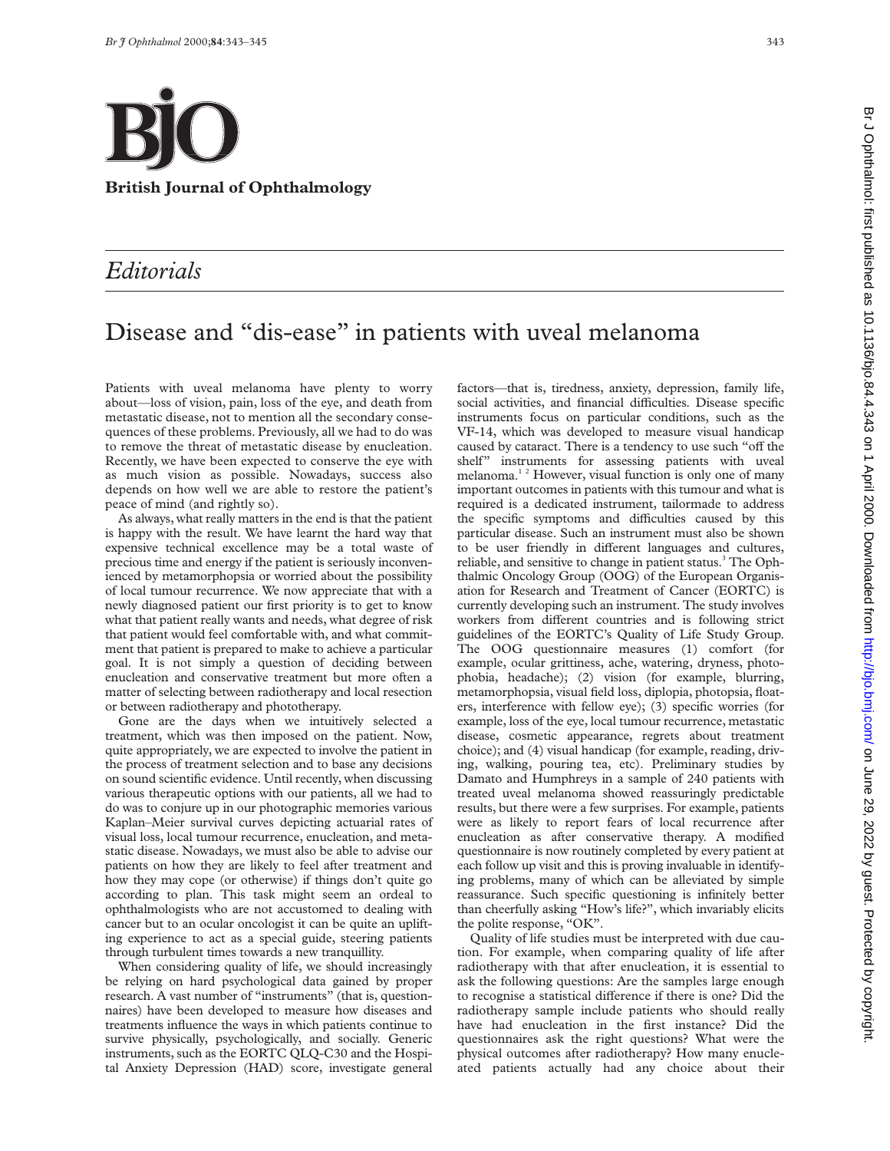

## *Editorials*

## Disease and "dis-ease" in patients with uveal melanoma

Patients with uveal melanoma have plenty to worry about—loss of vision, pain, loss of the eye, and death from metastatic disease, not to mention all the secondary consequences of these problems. Previously, all we had to do was to remove the threat of metastatic disease by enucleation. Recently, we have been expected to conserve the eye with as much vision as possible. Nowadays, success also depends on how well we are able to restore the patient's peace of mind (and rightly so).

As always, what really matters in the end is that the patient is happy with the result. We have learnt the hard way that expensive technical excellence may be a total waste of precious time and energy if the patient is seriously inconvenienced by metamorphopsia or worried about the possibility of local tumour recurrence. We now appreciate that with a newly diagnosed patient our first priority is to get to know what that patient really wants and needs, what degree of risk that patient would feel comfortable with, and what commitment that patient is prepared to make to achieve a particular goal. It is not simply a question of deciding between enucleation and conservative treatment but more often a matter of selecting between radiotherapy and local resection or between radiotherapy and phototherapy.

Gone are the days when we intuitively selected a treatment, which was then imposed on the patient. Now, quite appropriately, we are expected to involve the patient in the process of treatment selection and to base any decisions on sound scientific evidence. Until recently, when discussing various therapeutic options with our patients, all we had to do was to conjure up in our photographic memories various Kaplan–Meier survival curves depicting actuarial rates of visual loss, local tumour recurrence, enucleation, and metastatic disease. Nowadays, we must also be able to advise our patients on how they are likely to feel after treatment and how they may cope (or otherwise) if things don't quite go according to plan. This task might seem an ordeal to ophthalmologists who are not accustomed to dealing with cancer but to an ocular oncologist it can be quite an uplifting experience to act as a special guide, steering patients through turbulent times towards a new tranquillity.

When considering quality of life, we should increasingly be relying on hard psychological data gained by proper research. A vast number of "instruments" (that is, questionnaires) have been developed to measure how diseases and treatments influence the ways in which patients continue to survive physically, psychologically, and socially. Generic instruments, such as the EORTC QLQ-C30 and the Hospital Anxiety Depression (HAD) score, investigate general

factors—that is, tiredness, anxiety, depression, family life, social activities, and financial difficulties. Disease specific instruments focus on particular conditions, such as the VF-14, which was developed to measure visual handicap caused by cataract. There is a tendency to use such "off the shelf" instruments for assessing patients with uveal melanoma.<sup>1 2</sup> However, visual function is only one of many important outcomes in patients with this tumour and what is required is a dedicated instrument, tailormade to address the specific symptoms and difficulties caused by this particular disease. Such an instrument must also be shown to be user friendly in different languages and cultures, reliable, and sensitive to change in patient status.<sup>3</sup> The Ophthalmic Oncology Group (OOG) of the European Organisation for Research and Treatment of Cancer (EORTC) is currently developing such an instrument. The study involves workers from different countries and is following strict guidelines of the EORTC's Quality of Life Study Group. The OOG questionnaire measures (1) comfort (for example, ocular grittiness, ache, watering, dryness, photophobia, headache); (2) vision (for example, blurring, metamorphopsia, visual field loss, diplopia, photopsia, floaters, interference with fellow eye); (3) specific worries (for example, loss of the eye, local tumour recurrence, metastatic disease, cosmetic appearance, regrets about treatment choice); and (4) visual handicap (for example, reading, driving, walking, pouring tea, etc). Preliminary studies by Damato and Humphreys in a sample of 240 patients with treated uveal melanoma showed reassuringly predictable results, but there were a few surprises. For example, patients were as likely to report fears of local recurrence after enucleation as after conservative therapy. A modified questionnaire is now routinely completed by every patient at each follow up visit and this is proving invaluable in identifying problems, many of which can be alleviated by simple reassurance. Such specific questioning is infinitely better than cheerfully asking "How's life?", which invariably elicits the polite response, "OK".

Quality of life studies must be interpreted with due caution. For example, when comparing quality of life after radiotherapy with that after enucleation, it is essential to ask the following questions: Are the samples large enough to recognise a statistical difference if there is one? Did the radiotherapy sample include patients who should really have had enucleation in the first instance? Did the questionnaires ask the right questions? What were the physical outcomes after radiotherapy? How many enucleated patients actually had any choice about their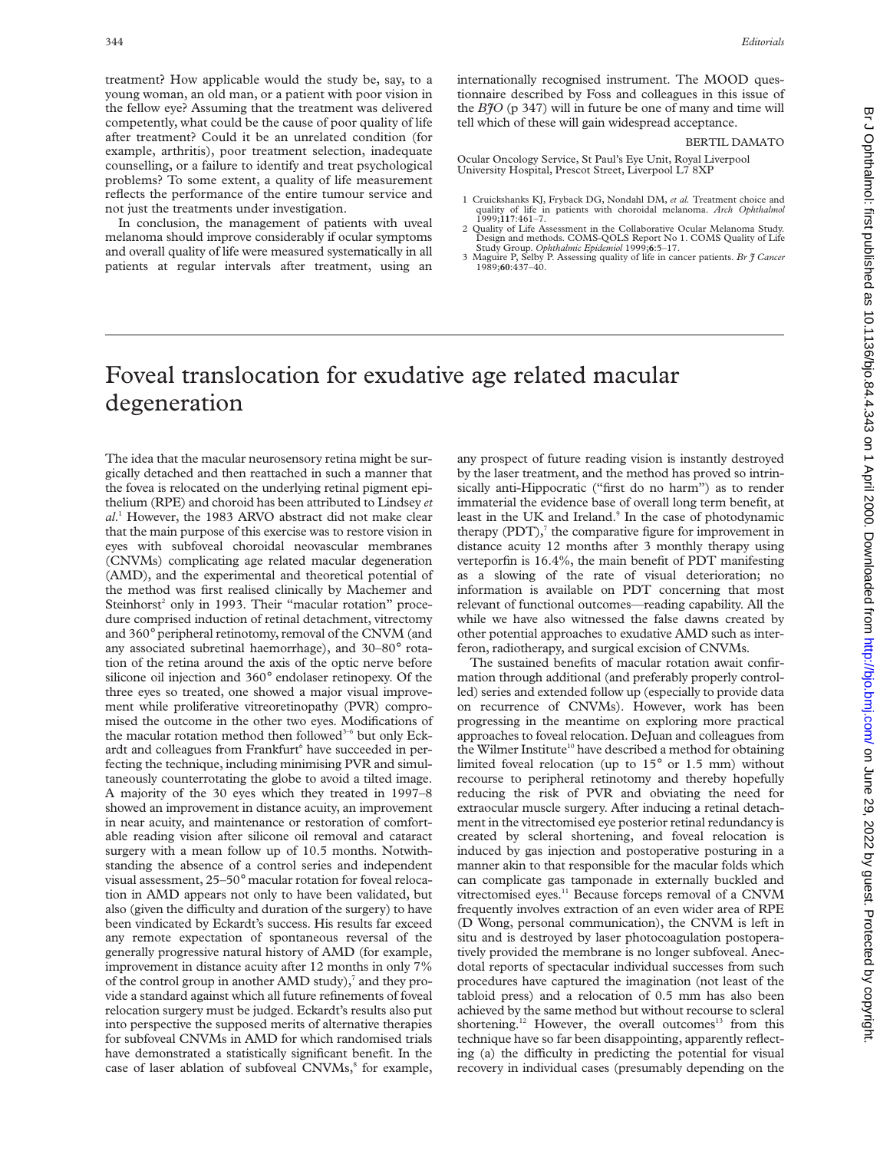treatment? How applicable would the study be, say, to a young woman, an old man, or a patient with poor vision in the fellow eye? Assuming that the treatment was delivered competently, what could be the cause of poor quality of life after treatment? Could it be an unrelated condition (for example, arthritis), poor treatment selection, inadequate counselling, or a failure to identify and treat psychological problems? To some extent, a quality of life measurement reflects the performance of the entire tumour service and not just the treatments under investigation.

In conclusion, the management of patients with uveal melanoma should improve considerably if ocular symptoms and overall quality of life were measured systematically in all patients at regular intervals after treatment, using an internationally recognised instrument. The MOOD questionnaire described by Foss and colleagues in this issue of the *BJO* (p 347) will in future be one of many and time will tell which of these will gain widespread acceptance.

## BERTIL DAMATO

Ocular Oncology Service, St Paul's Eye Unit, Royal Liverpool University Hospital, Prescot Street, Liverpool L7 8XP

- 1 Cruickshanks KJ, Fryback DG, Nondahl DM, *et al.* Treatment choice and quality of life in patients with choroidal melanoma. *Arch Ophthalmol* 1999;117:461-7. 1999;**117**:461–7. 2 Quality of Life Assessment in the Collaborative Ocular Melanoma Study.
- Design and methods. COMS-QOLS Report No 1. COMS Quality of Life<br>Study Group. *Ophthalmic Epidemiol* 1999;6*;*5–17.<br>3 Maguire P, Selby P. Assessing quality of life in cancer patients. *Br J Cancer*
- 1989;**60**:437–40.

## Foveal translocation for exudative age related macular degeneration

The idea that the macular neurosensory retina might be surgically detached and then reattached in such a manner that the fovea is relocated on the underlying retinal pigment epithelium (RPE) and choroid has been attributed to Lindsey *et al*. <sup>1</sup> However, the 1983 ARVO abstract did not make clear that the main purpose of this exercise was to restore vision in eyes with subfoveal choroidal neovascular membranes (CNVMs) complicating age related macular degeneration (AMD), and the experimental and theoretical potential of the method was first realised clinically by Machemer and Steinhorst<sup>2</sup> only in 1993. Their "macular rotation" procedure comprised induction of retinal detachment, vitrectomy and 360° peripheral retinotomy, removal of the CNVM (and any associated subretinal haemorrhage), and 30–80° rotation of the retina around the axis of the optic nerve before silicone oil injection and 360° endolaser retinopexy. Of the three eyes so treated, one showed a major visual improvement while proliferative vitreoretinopathy (PVR) compromised the outcome in the other two eyes. Modifications of the macular rotation method then followed $3-6$  but only Eckardt and colleagues from Frankfurt<sup>6</sup> have succeeded in perfecting the technique, including minimising PVR and simultaneously counterrotating the globe to avoid a tilted image. A majority of the 30 eyes which they treated in 1997–8 showed an improvement in distance acuity, an improvement in near acuity, and maintenance or restoration of comfortable reading vision after silicone oil removal and cataract surgery with a mean follow up of 10.5 months. Notwithstanding the absence of a control series and independent visual assessment, 25–50° macular rotation for foveal relocation in AMD appears not only to have been validated, but also (given the difficulty and duration of the surgery) to have been vindicated by Eckardt's success. His results far exceed any remote expectation of spontaneous reversal of the generally progressive natural history of AMD (for example, improvement in distance acuity after 12 months in only 7% of the control group in another AMD study), $7$  and they provide a standard against which all future refinements of foveal relocation surgery must be judged. Eckardt's results also put into perspective the supposed merits of alternative therapies for subfoveal CNVMs in AMD for which randomised trials have demonstrated a statistically significant benefit. In the case of laser ablation of subfoveal CNVMs,<sup>8</sup> for example,

any prospect of future reading vision is instantly destroyed by the laser treatment, and the method has proved so intrinsically anti-Hippocratic ("first do no harm") as to render immaterial the evidence base of overall long term benefit, at least in the UK and Ireland.<sup>9</sup> In the case of photodynamic therapy  $(PDT)$ , the comparative figure for improvement in distance acuity 12 months after 3 monthly therapy using verteporfin is 16.4%, the main benefit of PDT manifesting as a slowing of the rate of visual deterioration; no information is available on PDT concerning that most relevant of functional outcomes—reading capability. All the while we have also witnessed the false dawns created by other potential approaches to exudative AMD such as interferon, radiotherapy, and surgical excision of CNVMs.

The sustained benefits of macular rotation await confirmation through additional (and preferably properly controlled) series and extended follow up (especially to provide data on recurrence of CNVMs). However, work has been progressing in the meantime on exploring more practical approaches to foveal relocation. DeJuan and colleagues from the Wilmer Institute<sup>10</sup> have described a method for obtaining limited foveal relocation (up to 15° or 1.5 mm) without recourse to peripheral retinotomy and thereby hopefully reducing the risk of PVR and obviating the need for extraocular muscle surgery. After inducing a retinal detachment in the vitrectomised eye posterior retinal redundancy is created by scleral shortening, and foveal relocation is induced by gas injection and postoperative posturing in a manner akin to that responsible for the macular folds which can complicate gas tamponade in externally buckled and vitrectomised eyes.<sup>11</sup> Because forceps removal of a CNVM frequently involves extraction of an even wider area of RPE (D Wong, personal communication), the CNVM is left in situ and is destroyed by laser photocoagulation postoperatively provided the membrane is no longer subfoveal. Anecdotal reports of spectacular individual successes from such procedures have captured the imagination (not least of the tabloid press) and a relocation of 0.5 mm has also been achieved by the same method but without recourse to scleral shortening.<sup>12</sup> However, the overall outcomes<sup>13</sup> from this technique have so far been disappointing, apparently reflecting (a) the difficulty in predicting the potential for visual recovery in individual cases (presumably depending on the